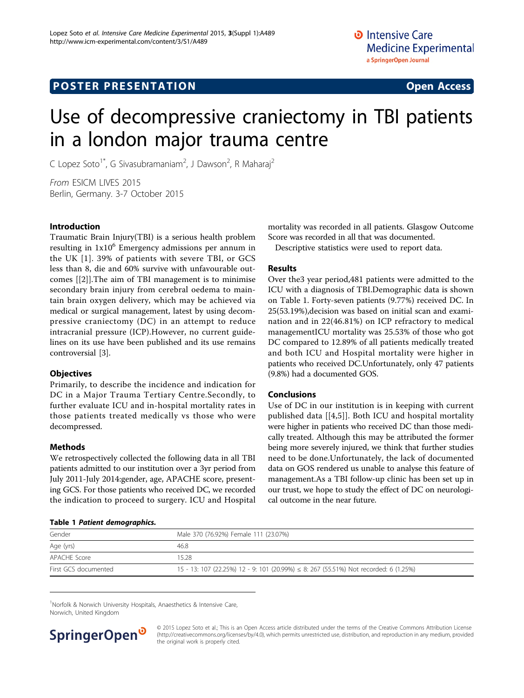# Use of decompressive craniectomy in TBI patients in a london major trauma centre

C Lopez Soto<sup>1\*</sup>, G Sivasubramaniam<sup>2</sup>, J Dawson<sup>2</sup>, R Maharaj<sup>2</sup>

From ESICM LIVES 2015 Berlin, Germany. 3-7 October 2015

# Introduction

Traumatic Brain Injury(TBI) is a serious health problem resulting in  $1x10^6$  Emergency admissions per annum in the UK [[1\]](#page-1-0). 39% of patients with severe TBI, or GCS less than 8, die and 60% survive with unfavourable outcomes [[[2](#page-1-0)]].The aim of TBI management is to minimise secondary brain injury from cerebral oedema to maintain brain oxygen delivery, which may be achieved via medical or surgical management, latest by using decompressive craniectomy (DC) in an attempt to reduce intracranial pressure (ICP).However, no current guidelines on its use have been published and its use remains controversial [[3](#page-1-0)].

# **Objectives**

Primarily, to describe the incidence and indication for DC in a Major Trauma Tertiary Centre.Secondly, to further evaluate ICU and in-hospital mortality rates in those patients treated medically vs those who were decompressed.

### Methods

We retrospectively collected the following data in all TBI patients admitted to our institution over a 3yr period from July 2011-July 2014:gender, age, APACHE score, presenting GCS. For those patients who received DC, we recorded the indication to proceed to surgery. ICU and Hospital

### Table 1 Patient demographics.

mortality was recorded in all patients. Glasgow Outcome Score was recorded in all that was documented.

Descriptive statistics were used to report data.

# Results

Over the3 year period,481 patients were admitted to the ICU with a diagnosis of TBI.Demographic data is shown on Table 1. Forty-seven patients (9.77%) received DC. In 25(53.19%),decision was based on initial scan and examination and in 22(46.81%) on ICP refractory to medical managementICU mortality was 25.53% of those who got DC compared to 12.89% of all patients medically treated and both ICU and Hospital mortality were higher in patients who received DC.Unfortunately, only 47 patients (9.8%) had a documented GOS.

### Conclusions

Use of DC in our institution is in keeping with current published data [[\[4,5\]](#page-1-0)]. Both ICU and hospital mortality were higher in patients who received DC than those medically treated. Although this may be attributed the former being more severely injured, we think that further studies need to be done.Unfortunately, the lack of documented data on GOS rendered us unable to analyse this feature of management.As a TBI follow-up clinic has been set up in our trust, we hope to study the effect of DC on neurological outcome in the near future.

| Gender               | Male 370 (76.92%) Female 111 (23.07%)                                                |
|----------------------|--------------------------------------------------------------------------------------|
| Age (yrs)            | 46.8                                                                                 |
| APACHE Score         | 15.28                                                                                |
| First GCS documented | 15 - 13: 107 (22.25%) 12 - 9: 101 (20.99%) ≤ 8: 267 (55.51%) Not recorded: 6 (1.25%) |

<sup>1</sup>Norfolk & Norwich University Hospitals, Anaesthetics & Intensive Care, Norwich, United Kingdom



© 2015 Lopez Soto et al.; This is an Open Access article distributed under the terms of the Creative Commons Attribution License [\(http://creativecommons.org/licenses/by/4.0](http://creativecommons.org/licenses/by/4.0)), which permits unrestricted use, distribution, and reproduction in any medium, provided the original work is properly cited.